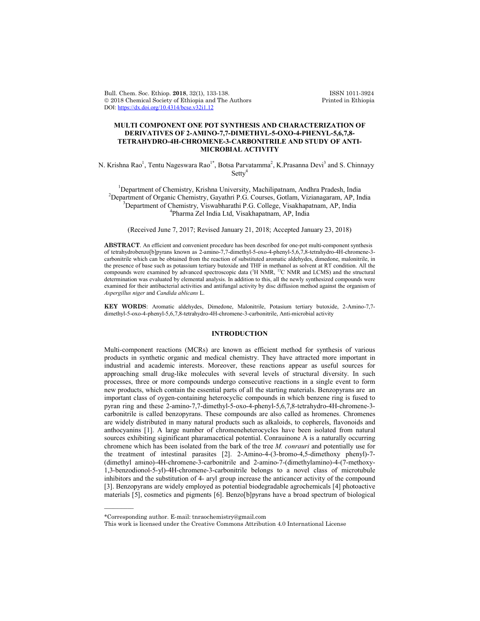Bull. Chem. Soc. Ethiop. 2018, 32(1), 133-138. ISSN 1011-3924<br>
© 2018 Chemical Society of Ethiopia and The Authors Printed in Ethiopia  $© 2018 Chemical Society of Ethiopia and The Authors$ DOI: https://dx.doi.org/10.4314/bcse.v32i1.12

# **MULTI COMPONENT ONE POT SYNTHESIS AND CHARACTERIZATION OF DERIVATIVES OF 2-AMINO-7,7-DIMETHYL-5-OXO-4-PHENYL-5,6,7,8- TETRAHYDRO-4H-CHROMENE-3-CARBONITRILE AND STUDY OF ANTI-MICROBIAL ACTIVITY**

N. Krishna Rao<sup>1</sup>, Tentu Nageswara Rao<sup>1\*</sup>, Botsa Parvatamma<sup>2</sup>, K.Prasanna Devi<sup>3</sup> and S. Chinnayy Setty<sup>4</sup>

<sup>1</sup>Department of Chemistry, Krishna University, Machilipatnam, Andhra Pradesh, India<br><sup>2</sup>Department of Organia Chemistry, Govethri B.G. Courses, Gotlam, Vizionagaram, A.B. In <sup>2</sup>Department of Organic Chemistry, Gayathri P.G. Courses, Gotlam, Vizianagaram, AP, India  ${}^{3}$ Department of Chemistry, Viswabharathi P.G. College, Visakhapatnam, AP, India Pharma Zel India Ltd, Visakhapatnam, AP, India

(Received June 7, 2017; Revised January 21, 2018; Accepted January 23, 2018)

**ABSTRACT**. An efficient and convenient procedure has been described for one-pot multi-component synthesis of tetrahydrobenzo[b]pyrans known as 2-amino-7,7-dimethyl-5-oxo-4-phenyl-5,6,7,8-tetrahydro-4H-chromene-3 carbonitrile which can be obtained from the reaction of substituted aromatic aldehydes, dimedone, malonitrile, in the presence of base such as potassium tertiary butoxide and THF in methanol as solvent at RT condition. All the compounds were examined by advanced spectroscopic data (<sup>1</sup>H NMR, <sup>13</sup>C NMR and LCMS) and the structural determination was evaluated by elemental analysis. In addition to this, all the newly synthesized compounds were examined for their antibacterial activities and antifungal activity by disc diffusion method against the organism of *Aspergillus niger* and *Candida ablicans* L.

**KEY WORDS**: Aromatic aldehydes, Dimedone, Malonitrile, Potasium tertiary butoxide, 2-Amino-7,7 dimethyl-5-oxo-4-phenyl-5,6,7,8-tetrahydro-4H-chromene-3-carbonitrile, Anti-microbial activity

## **INTRODUCTION**

Multi-component reactions (MCRs) are known as efficient method for synthesis of various products in synthetic organic and medical chemistry. They have attracted more important in industrial and academic interests. Moreover, these reactions appear as useful sources for approaching small drug-like molecules with several levels of structural diversity. In such processes, three or more compounds undergo consecutive reactions in a single event to form new products, which contain the essential parts of all the starting materials. Benzopyrans are an important class of oygen-containing heterocyclic compounds in which benzene ring is fused to pyran ring and these 2-amino-7,7-dimethyl-5-oxo-4-phenyl-5,6,7,8-tetrahydro-4H-chromene-3 carbonitrile is called benzopyrans. These compounds are also called as hromenes. Chromenes are widely distributed in many natural products such as alkaloids, to copherels, flavonoids and anthocyanins [1]. A large number of chromeneheterocycles have been isolated from natural sources exhibiting siginificant pharamacetical potential. Conrauinone A is a naturally occurring chromene which has been isolated from the bark of the tree *M. conrauri* and potentially use for the treatment of intestinal parasites [2]. 2-Amino-4-(3-bromo-4,5-dimethoxy phenyl)-7- (dimethyl amino)-4H-chromene-3-carbonitrile and 2-amino-7-(dimethylamino)-4-(7-methoxy-1,3-benzodionol-5-yl)-4H-chromene-3-carbonitrile belongs to a novel class of microtubule inhibitors and the substitution of 4- aryl group increase the anticancer activity of the compound [3]. Benzopyrans are widely employed as potential biodegradable agrochemicals [4] photoactive materials [5], cosmetics and pigments [6]. Benzo[b]pyrans have a broad spectrum of biological

 $\overline{\phantom{a}}$ 

<sup>\*</sup>Corresponding author. E-mail: tnraochemistry@gmail.com

This work is licensed under the Creative Commons Attribution 4.0 International License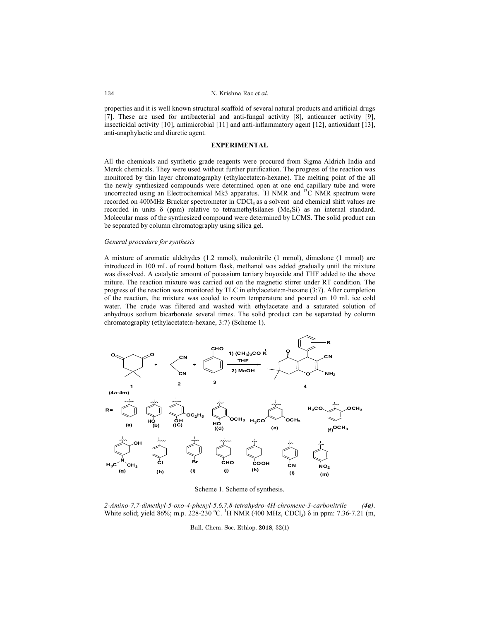properties and it is well known structural scaffold of several natural products and artificial drugs [7]. These are used for antibacterial and anti-fungal activity [8], anticancer activity [9], insecticidal activity [10], antimicrobial [11] and anti-inflammatory agent [12], antioxidant [13], anti-anaphylactic and diuretic agent.

## **EXPERIMENTAL**

All the chemicals and synthetic grade reagents were procured from Sigma Aldrich India and Merck chemicals. They were used without further purification. The progress of the reaction was monitored by thin layer chromatography (ethylacetate:n-hexane). The melting point of the all the newly synthesized compounds were determined open at one end capillary tube and were uncorrected using an Electrochemical Mk3 apparatus. <sup>1</sup>H NMR and <sup>13</sup>C NMR spectrum were recorded on 400MHz Brucker spectrometer in CDCl<sub>3</sub> as a solvent and chemical shift values are recorded in units  $\delta$  (ppm) relative to tetramethylsilanes (Me<sub>4</sub>Si) as an internal standard. Molecular mass of the synthesized compound were determined by LCMS. The solid product can be separated by column chromatography using silica gel.

#### *General procedure for synthesis*

A mixture of aromatic aldehydes (1.2 mmol), malonitrile (1 mmol), dimedone (1 mmol) are introduced in 100 mL of round bottom flask, methanol was added gradually until the mixture was dissolved. A catalytic amount of potassium tertiary buyoxide and THF added to the above miture. The reaction mixture was carried out on the magnetic stirrer under RT condition. The progress of the reaction was monitored by TLC in ethylacetate:n-hexane (3:7). After completion of the reaction, the mixture was cooled to room temperature and poured on 10 mL ice cold water. The crude was filtered and washed with ethylacetate and a saturated solution of anhydrous sodium bicarbonate several times. The solid product can be separated by column chromatography (ethylacetate:n-hexane, 3:7) (Scheme 1).



Scheme 1. Scheme of synthesis.

*2-Amino-7,7-dimethyl-5-oxo-4-phenyl-5,6,7,8-tetrahydro-4H-chromene-3-carbonitrile (4a)*. White solid; yield 86%; m.p. 228-230 °C. <sup>1</sup>H NMR (400 MHz, CDCl<sub>3</sub>)  $\delta$  in ppm: 7.36-7.21 (m,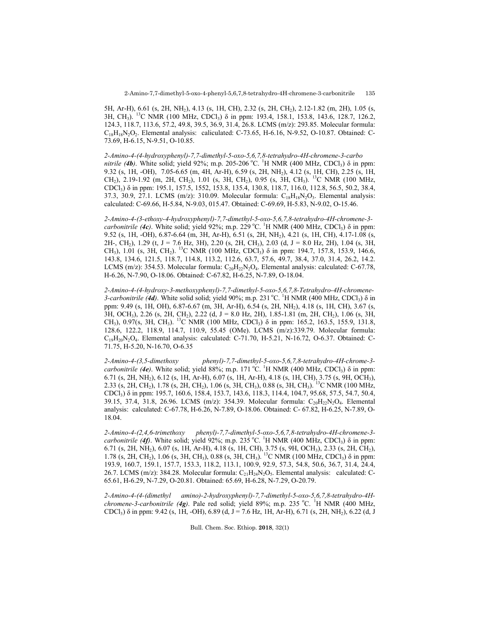5H, Ar-H), 6.61 (s, 2H, NH2), 4.13 (s, 1H, CH), 2.32 (s, 2H, CH2), 2.12-1.82 (m, 2H), 1.05 (s, 3H, CH<sub>3</sub>). <sup>13</sup>C NMR (100 MHz, CDCl<sub>3</sub>) δ in ppm: 193.4, 158.1, 153.8, 143.6, 128.7, 126.2, 124.3, 118.7, 113.6, 57.2, 49.8, 39.5, 36.9, 31.4, 26.8. LCMS (m/z): 293.85. Molecular formula:  $C_{18}H_{18}N_2O_2$ . Elemental analysis: caliculated: C-73.65, H-6.16, N-9.52, O-10.87. Obtained: C-73.69, H-6.15, N-9.51, O-10.85.

*2-Amino-4-(4-hydroxyphenyl)-7,7-dimethyl-5-oxo-5,6,7,8-tetrahydro-4H-chromene-3-carbo nitrile (4b)*. White solid; yield 92%; m.p. 205-206 °C. <sup>1</sup>H NMR (400 MHz, CDCl<sub>3</sub>)  $\delta$  in ppm: 9.32 (s, 1H, -OH), 7.05-6.65 (m, 4H, Ar-H), 6.59 (s, 2H, NH2), 4.12 (s, 1H, CH), 2.25 (s, 1H, CH<sub>2</sub>), 2.19-1.92 (m, 2H, CH<sub>2</sub>), 1.01 (s, 3H, CH<sub>2</sub>), 0.95 (s, 3H, CH<sub>3</sub>). <sup>13</sup>C NMR (100 MHz, CDCl3) δ in ppm: 195.1, 157.5, 1552, 153.8, 135.4, 130.8, 118.7, 116.0, 112.8, 56.5, 50.2, 38.4, 37.3, 30.9, 27.1. LCMS (m/z): 310.09. Molecular formula:  $C_{18}H_{18}N_2O_3$ . Elemental analysis: calculated: C-69.66, H-5.84, N-9.03, 015.47. Obtained: C-69.69, H-5.83, N-9.02, O-15.46.

*2-Amino-4-(3-ethoxy-4-hydroxyphenyl)-7,7-dimethyl-5-oxo-5,6,7,8-tetrahydro-4H-chromene-3 carbonitrile (4c)*. White solid; yield 92%; m.p. 229 °C. <sup>1</sup>H NMR (400 MHz, CDCl<sub>3</sub>)  $\delta$  in ppm: 9.52 (s, 1H, -OH), 6.87-6.64 (m, 3H, Ar-H), 6.51 (s, 2H, NH2), 4.21 (s, 1H, CH), 4.17-1.08 (s, 2H-, CH<sub>2</sub>), 1.29 (t, J = 7.6 Hz, 3H), 2.20 (s, 2H, CH<sub>3</sub>), 2.03 (d, J = 8.0 Hz, 2H), 1.04 (s, 3H, CH<sub>3</sub>), 1.01 (s, 3H, CH<sub>2</sub>). <sup>13</sup>C NMR (100 MHz, CDCl<sub>3</sub>) δ in ppm: 194.7, 157.8, 153.9, 146.6, 143.8, 134.6, 121.5, 118.7, 114.8, 113.2, 112.6, 63.7, 57.6, 49.7, 38.4, 37.0, 31.4, 26.2, 14.2. LCMS (m/z): 354.53. Molecular formula:  $C_{20}H_{22}N_2O_4$ . Elemental analysis: calculated: C-67.78, H-6.26, N-7.90, O-18.06. Obtained: C-67.82, H-6.25, N-7.89, O-18.04.

*2-Amino-4-(4-hydroxy-3-methoxyphenyl)-7,7-dimethyl-5-oxo-5,6,7,8-Tetrahydro-4H-chromene-* $3$ -carbonitrile (4d). White solid solid; yield 90%; m.p. 231 °C. <sup>1</sup>H NMR (400 MHz, CDCl<sub>3</sub>)  $\delta$  in ppm: 9.49 (s, 1H, OH), 6.87-6.67 (m, 3H, Ar-H), 6.54 (s, 2H, NH2), 4.18 (s, 1H, CH), 3.67 (s, 3H, OCH<sub>3</sub>), 2.26 (s, 2H, CH<sub>2</sub>), 2.22 (d, J = 8.0 Hz, 2H), 1.85-1.81 (m, 2H, CH<sub>2</sub>), 1.06 (s, 3H, CH<sub>3</sub>), 0.97(s, 3H, CH<sub>3</sub>). <sup>13</sup>C NMR (100 MHz, CDCl<sub>3</sub>)  $\delta$  in ppm: 165.2, 163.5, 155.9, 131.8, 128.6, 122.2, 118.9, 114.7, 110.9, 55.45 (OMe). LCMS (m/z):339.79. Molecular formula:  $C_{19}H_{20}N_2O_4$ . Elemental analysis: calculated: C-71.70, H-5.21, N-16.72, O-6.37. Obtained: C-71.75, H-5.20, N-16.70, O-6.35

*2-Amino-4-(3,5-dimethoxy phenyl)-7,7-dimethyl-5-oxo-5,6,7,8-tetrahydro-4H-chrome-3 carbonitrile (4e)*. White solid; yield 88%; m.p. 171 °C. <sup>1</sup>H NMR (400 MHz, CDCl<sub>3</sub>) δ in ppm: 6.71 (s, 2H, NH2), 6.12 (s, 1H, Ar-H), 6.07 (s, 1H, Ar-H), 4.18 (s, 1H, CH), 3.75 (s, 9H, OCH3), 2.33 (s, 2H, CH<sub>2</sub>), 1.78 (s, 2H, CH<sub>2</sub>), 1.06 (s, 3H, CH<sub>3</sub>), 0.88 (s, 3H, CH<sub>3</sub>). <sup>13</sup>C NMR (100 MHz, CDCl3) δ in ppm: 195.7, 160.6, 158.4, 153.7, 143.6, 118.3, 114.4, 104.7, 95.68, 57.5, 54.7, 50.4, 39.15, 37.4, 31.8, 26.96. LCMS (m/z): 354.39. Molecular formula: C<sub>20</sub>H<sub>22</sub>N<sub>2</sub>O<sub>4</sub>. Elemental analysis: calculated: C-67.78, H-6.26, N-7.89, O-18.06. Obtained: C- 67.82, H-6.25, N-7.89, O-18.04.

*2-Amino-4-(2,4,6-trimethoxy phenyl)-7,7-dimethyl-5-oxo-5,6,7,8-tetrahydro-4H-chromene-3 carbonitrile (4f)*. White solid; yield 92%; m.p. 235 °C. <sup>1</sup>H NMR (400 MHz, CDCl<sub>3</sub>)  $\delta$  in ppm: 6.71 (s, 2H, NH2), 6.07 (s, 1H, Ar-H), 4.18 (s, 1H, CH), 3.75 (s, 9H, OCH3), 2.33 (s, 2H, CH2), 1.78 (s, 2H, CH<sub>2</sub>), 1.06 (s, 3H, CH<sub>3</sub>), 0.88 (s, 3H, CH<sub>3</sub>). <sup>13</sup>C NMR (100 MHz, CDCl<sub>3</sub>) δ in ppm: 193.9, 160.7, 159.1, 157.7, 153.3, 118.2, 113.1, 100.9, 92.9, 57.3, 54.8, 50.6, 36.7, 31.4, 24.4, 26.7. LCMS (m/z): 384.28. Molecular formula:  $C_{21}H_{24}N_2O_5$ . Elemental analysis: calculated: C-65.61, H-6.29, N-7.29, O-20.81. Obtained: 65.69, H-6.28, N-7.29, O-20.79.

*2-Amino-4-(4-(dimethyl amino)-2-hydroxyphenyl)-7,7-dimethyl-5-oxo-5,6,7,8-tetrahydro-4Hchromene-3-carbonitrile (4g)*. Pale red solid; yield 89%; m.p. 235 °C. <sup>1</sup>H NMR (400 MHz, CDCl<sub>3</sub>)  $\delta$  in ppm: 9.42 (s, 1H, -OH), 6.89 (d, J = 7.6 Hz, 1H, Ar-H), 6.71 (s, 2H, NH<sub>2</sub>), 6.22 (d, J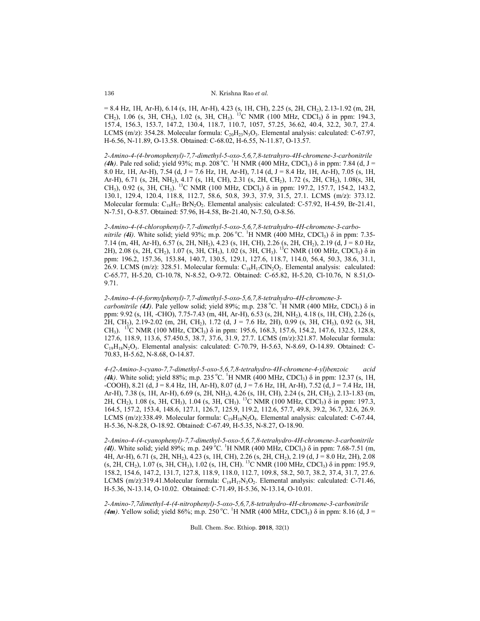= 8.4 Hz, 1H, Ar-H), 6.14 (s, 1H, Ar-H), 4.23 (s, 1H, CH), 2.25 (s, 2H, CH2), 2.13-1.92 (m, 2H, CH<sub>2</sub>), 1.06 (s, 3H, CH<sub>3</sub>), 1.02 (s, 3H, CH<sub>3</sub>). <sup>13</sup>C NMR (100 MHz, CDCl<sub>3</sub>)  $\delta$  in ppm: 194.3, 157.4, 156.3, 153.7, 147.2, 130.4, 118.7, 110.7, 1057, 57.25, 36.62, 40.4, 32.2, 30.7, 27.4. LCMS (m/z): 354.28. Molecular formula:  $C_{20}H_{23}N_3O_3$ . Elemental analysis: calculated: C-67.97, H-6.56, N-11.89, O-13.58. Obtained: C-68.02, H-6.55, N-11.87, O-13.57.

*2-Amino-4-(4-bromophenyl)-7,7-dimethyl-5-oxo-5,6,7,8-tetrahyro-4H-chromene-3-carbonitrile*  (*4h*). Pale red solid; yield 93%; m.p. 208 °C. <sup>1</sup>H NMR (400 MHz, CDCl<sub>3</sub>)  $\delta$  in ppm: 7.84 (d, J = 8.0 Hz, 1H, Ar-H), 7.54 (d, J = 7.6 Hz, 1H, Ar-H), 7.14 (d, J = 8.4 Hz, 1H, Ar-H), 7.05 (s, 1H, Ar-H), 6.71 (s, 2H, NH2), 4.17 (s, 1H, CH), 2.31 (s, 2H, CH2), 1.72 (s, 2H, CH2), 1.08(s, 3H, CH<sub>3</sub>), 0.92 (s, 3H, CH<sub>3</sub>). <sup>13</sup>C NMR (100 MHz, CDCl<sub>3</sub>)  $\delta$  in ppm: 197.2, 157.7, 154.2, 143.2, 130.1, 129.4, 120.4, 118.8, 112.7, 58.6, 50.8, 39.3, 37.9, 31.5, 27.1. LCMS (m/z): 373.12. Molecular formula:  $C_{18}H_{17}$  BrN<sub>2</sub>O<sub>2</sub>. Elemental analysis: calculated: C-57.92, H-4.59, Br-21.41, N-7.51, O-8.57. Obtained: 57.96, H-4.58, Br-21.40, N-7.50, O-8.56.

### *2-Amino-4-(4-chlorophenyl)-7,7-dimethyl-5-oxo-5,6,7,8-tetrahydro-4H-chromene-3-carbo-*

*nitrile* (4*i*). White solid; yield 93%; m.p. 206 °C. <sup>1</sup>H NMR (400 MHz, CDCl<sub>3</sub>) δ in ppm: 7.35-7.14 (m, 4H, Ar-H), 6.57 (s, 2H, NH<sub>2</sub>), 4.23 (s, 1H, CH), 2.26 (s, 2H, CH<sub>2</sub>), 2.19 (d, J = 8.0 Hz, 2H), 2.08 (s, 2H, CH<sub>2</sub>), 1.07 (s, 3H, CH<sub>3</sub>), 1.02 (s, 3H, CH<sub>3</sub>). <sup>13</sup>C NMR (100 MHz, CDCl<sub>3</sub>)  $\delta$  in ppm: 196.2, 157.36, 153.84, 140.7, 130.5, 129.1, 127.6, 118.7, 114.0, 56.4, 50.3, 38.6, 31.1, 26.9. LCMS (m/z): 328.51. Molecular formula:  $C_{18}H_{17}CIN_2O_2$ . Elemental analysis: calculated: C-65.77, H-5.20, Cl-10.78, N-8.52, O-9.72. Obtained: C-65.82, H-5.20, Cl-10.76, N 8.51,O-9.71.

*2-Amino-4-(4-formylphenyl)-7,7-dimethyl-5-oxo-5,6,7,8-tetrahydro-4H-chromene-3 carbonitrile (4J)*. Pale yellow solid; yield 89%; m.p. 238 °C. <sup>1</sup>H NMR (400 MHz, CDCl<sub>3</sub>)  $\delta$  in ppm: 9.92 (s, 1H, -CHO), 7.75-7.43 (m, 4H, Ar-H), 6.53 (s, 2H, NH2), 4.18 (s, 1H, CH), 2.26 (s, 2H, CH2), 2.19-2.02 (m, 2H, CH2), 1.72 (d, J = 7.6 Hz, 2H), 0.99 (s, 3H, CH3), 0.92 (s, 3H, CH<sub>3</sub>). <sup>13</sup>C NMR (100 MHz, CDCl<sub>3</sub>)  $\delta$  in ppm: 195.6, 168.3, 157.6, 154.2, 147.6, 132.5, 128.8, 127.6, 118.9, 113.6, 57.450.5, 38.7, 37.6, 31.9, 27.7. LCMS (m/z):321.87. Molecular formula:  $C_{19}H_{18}N_2O_3$ . Elemental analysis: calculated: C-70.79, H-5.63, N-8.69, O-14.89. Obtained: C-70.83, H-5.62, N-8.68, O-14.87.

*4-(2-Amino-3-cyano-7,7-dimethyl-5-oxo-5,6,7,8-tetrahydro-4H-chromene-4-yl)benzoic acid*  (*4k*). White solid; yield 88%; m.p. 235 °C. <sup>1</sup>H NMR (400 MHz, CDCl<sub>3</sub>)  $\delta$  in ppm: 12.37 (s, 1H, -COOH), 8.21 (d, J = 8.4 Hz, 1H, Ar-H), 8.07 (d, J = 7.6 Hz, 1H, Ar-H), 7.52 (d, J = 7.4 Hz, 1H, Ar-H), 7.38 (s, 1H, Ar-H), 6.69 (s, 2H, NH2), 4.26 (s, 1H, CH), 2.24 (s, 2H, CH2), 2.13-1.83 (m, 2H, CH<sub>2</sub>), 1.08 (s, 3H, CH<sub>3</sub>), 1.04 (s, 3H, CH<sub>3</sub>). <sup>13</sup>C NMR (100 MHz, CDCl<sub>3</sub>)  $\delta$  in ppm: 197.3, 164.5, 157.2, 153.4, 148.6, 127.1, 126.7, 125.9, 119.2, 112.6, 57.7, 49.8, 39.2, 36.7, 32.6, 26.9. LCMS (m/z):338.49. Molecular formula:  $C_{19}H_{18}N_2O_4$ . Elemental analysis: calculated: C-67.44, H-5.36, N-8.28, O-18.92. Obtained: C-67.49, H-5.35, N-8.27, O-18.90.

*2-Amino-4-(4-cyanophenyl)-7,7-dimethyl-5-oxo-5,6,7,8-tetrahydro-4H-chromene-3-carbonitrile*  (4l). White solid; yield 89%; m.p. 249 °C. <sup>1</sup>H NMR (400 MHz, CDCl<sub>3</sub>)  $\delta$  in ppm: 7.68-7.51 (m, 4H, Ar-H), 6.71 (s, 2H, NH<sub>2</sub>), 4.23 (s, 1H, CH), 2.26 (s, 2H, CH<sub>2</sub>), 2.19 (d, J = 8.0 Hz, 2H), 2.08 (s, 2H, CH<sub>2</sub>), 1.07 (s, 3H, CH<sub>3</sub>), 1.02 (s, 1H, CH). <sup>13</sup>C NMR (100 MHz, CDCl<sub>3</sub>)  $\delta$  in ppm: 195.9, 158.2, 154.6, 147.2, 131.7, 127.8, 118.9, 118.0, 112.7, 109.8, 58.2, 50.7, 38.2, 37.4, 31.7, 27.6. LCMS (m/z):319.41.Molecular formula:  $C_{19}H_{17}N_3O_2$ . Elemental analysis: calculated: C-71.46, H-5.36, N-13.14, O-10.02. Obtained: C-71.49, H-5.36, N-13.14, O-10.01.

*2-Amino-7,7dimethyl-4-(4-nitrophenyl)-5-oxo-5,6,7,8-tetrahydro-4H-chromene-3-carbonitrile*  (*4m*). Yellow solid; yield 86%; m.p. 250 °C. <sup>1</sup>H NMR (400 MHz, CDCl<sub>3</sub>) δ in ppm: 8.16 (d, J =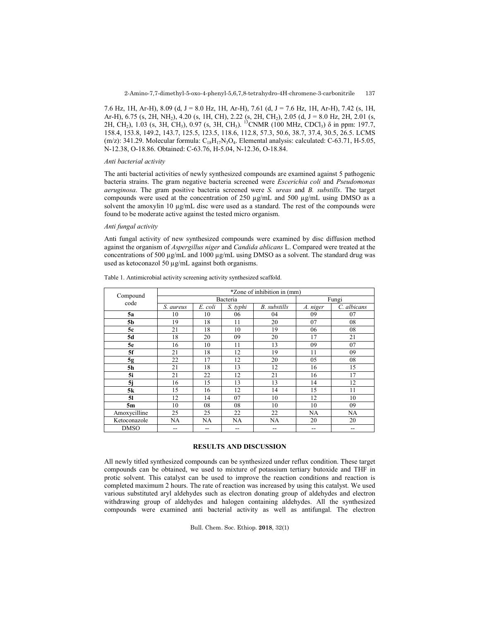7.6 Hz, 1H, Ar-H), 8.09 (d, J = 8.0 Hz, 1H, Ar-H), 7.61 (d, J = 7.6 Hz, 1H, Ar-H), 7.42 (s, 1H, Ar-H), 6.75 (s, 2H, NH<sub>2</sub>), 4.20 (s, 1H, CH), 2.22 (s, 2H, CH<sub>2</sub>), 2.05 (d, J = 8.0 Hz, 2H, 2.01 (s, 2H, CH<sub>2</sub>), 1.03 (s, 3H, CH<sub>3</sub>), 0.97 (s, 3H, CH<sub>3</sub>). <sup>13</sup>CNMR (100 MHz, CDCl<sub>3</sub>)  $\delta$  in ppm: 197.7, 158.4, 153.8, 149.2, 143.7, 125.5, 123.5, 118.6, 112.8, 57.3, 50.6, 38.7, 37.4, 30.5, 26.5. LCMS (m/z): 341.29. Molecular formula:  $C_{18}H_{17}N_3O_4$ . Elemental analysis: calculated: C-63.71, H-5.05, N-12.38, O-18.86. Obtained: C-63.76, H-5.04, N-12.36, O-18.84.

#### *Anti bacterial activity*

The anti bacterial activities of newly synthesized compounds are examined against 5 pathogenic bacteria strains. The gram negative bacteria screened were *Escerichia coli* and *Pseudomonas aeruginosa*. The gram positive bacteria screened were *S. ureas* and *B. substills*. The target compounds were used at the concentration of 250 µg/mL and 500 µg/mL using DMSO as a solvent the amoxylin 10 µg/mL disc were used as a standard. The rest of the compounds were found to be moderate active against the tested micro organism.

### *Anti fungal activity*

Anti fungal activity of new synthesized compounds were examined by disc diffusion method against the organism of *Aspergillus niger* and *Candida ablicans* L. Compared were treated at the concentrations of 500 µg/mL and 1000 µg/mL using DMSO as a solvent. The standard drug was used as ketoconazol 50 µg/mL against both organisms.

| Compound<br>code | *Zone of inhibition in (mm) |         |          |              |          |             |
|------------------|-----------------------------|---------|----------|--------------|----------|-------------|
|                  | Bacteria                    |         |          |              | Fungi    |             |
|                  | S. aureus                   | E. coli | S. typhi | B. substills | A. niger | C. albicans |
| 5a               | 10                          | 10      | 06       | 04           | 09       | 07          |
| 5b               | 19                          | 18      | 11       | 20           | 07       | 08          |
| 5c               | 21                          | 18      | 10       | 19           | 06       | 08          |
| 5d               | 18                          | 20      | 09       | 20           | 17       | 21          |
| 5e               | 16                          | 10      | 11       | 13           | 09       | 07          |
| 5f               | 21                          | 18      | 12       | 19           | 11       | 09          |
| 5g               | 22                          | 17      | 12       | 20           | 05       | 08          |
| 5 <sub>h</sub>   | 21                          | 18      | 13       | 12           | 16       | 15          |
| 5i               | 21                          | 22      | 12       | 21           | 16       | 17          |
| 5j               | 16                          | 15      | 13       | 13           | 14       | 12          |
| 5k               | 15                          | 16      | 12       | 14           | 15       | 11          |
| 51               | 12                          | 14      | 07       | 10           | 12       | 10          |
| 5m               | 10                          | 08      | 08       | 10           | 10       | 09          |
| Amoxycilline     | 25                          | 25      | 22       | 22           | NA       | <b>NA</b>   |
| Ketoconazole     | NA                          | NA      | NA       | NA           | 20       | 20          |
| <b>DMSO</b>      |                             | --      |          | --           | --       |             |

Table 1. Antimicrobial activity screening activity synthesized scaffold.

# **RESULTS AND DISCUSSION**

All newly titled synthesized compounds can be synthesized under reflux condition. These target compounds can be obtained, we used to mixture of potassium tertiary butoxide and THF in protic solvent. This catalyst can be used to improve the reaction conditions and reaction is completed maximum 2 hours. The rate of reaction was increased by using this catalyst. We used various substituted aryl aldehydes such as electron donating group of aldehydes and electron withdrawing group of aldehydes and halogen containing aldehydes. All the synthesized compounds were examined anti bacterial activity as well as antifungal. The electron